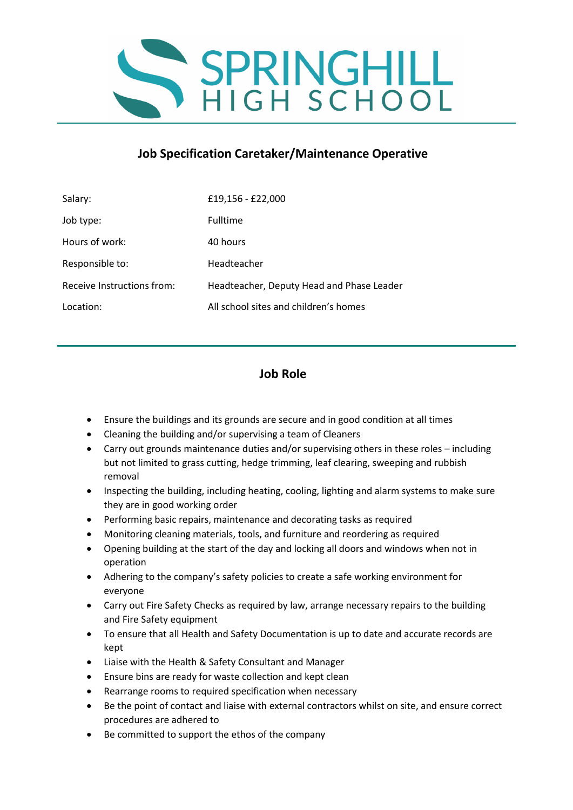

## **Job Specification Caretaker/Maintenance Operative**

| Salary:                    | £19,156 - £22,000                         |
|----------------------------|-------------------------------------------|
| Job type:                  | <b>Fulltime</b>                           |
| Hours of work:             | 40 hours                                  |
| Responsible to:            | Headteacher                               |
| Receive Instructions from: | Headteacher, Deputy Head and Phase Leader |
| Location:                  | All school sites and children's homes     |

## **Job Role**

- Ensure the buildings and its grounds are secure and in good condition at all times
- Cleaning the building and/or supervising a team of Cleaners
- Carry out grounds maintenance duties and/or supervising others in these roles including but not limited to grass cutting, hedge trimming, leaf clearing, sweeping and rubbish removal
- Inspecting the building, including heating, cooling, lighting and alarm systems to make sure they are in good working order
- Performing basic repairs, maintenance and decorating tasks as required
- Monitoring cleaning materials, tools, and furniture and reordering as required
- Opening building at the start of the day and locking all doors and windows when not in operation
- Adhering to the company's safety policies to create a safe working environment for everyone
- Carry out Fire Safety Checks as required by law, arrange necessary repairs to the building and Fire Safety equipment
- To ensure that all Health and Safety Documentation is up to date and accurate records are kept
- Liaise with the Health & Safety Consultant and Manager
- Ensure bins are ready for waste collection and kept clean
- Rearrange rooms to required specification when necessary
- Be the point of contact and liaise with external contractors whilst on site, and ensure correct procedures are adhered to
- Be committed to support the ethos of the company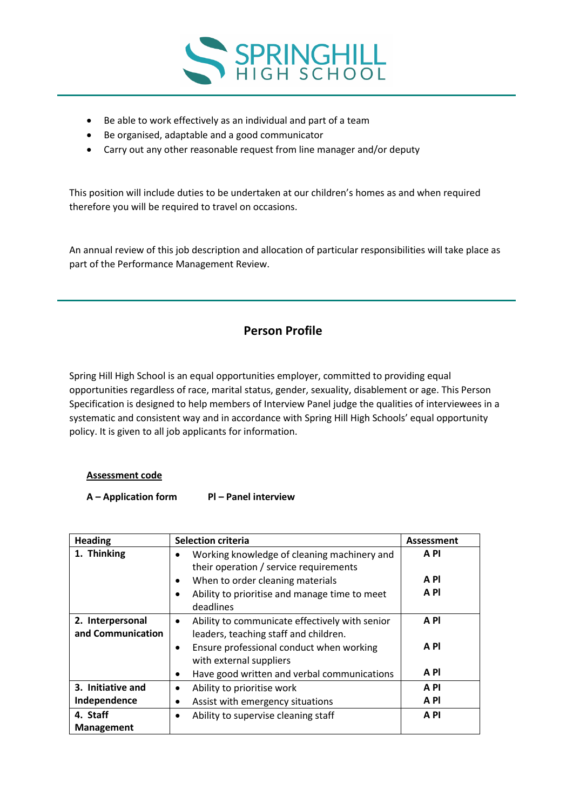

- Be able to work effectively as an individual and part of a team
- Be organised, adaptable and a good communicator
- Carry out any other reasonable request from line manager and/or deputy

This position will include duties to be undertaken at our children's homes as and when required therefore you will be required to travel on occasions.

An annual review of this job description and allocation of particular responsibilities will take place as part of the Performance Management Review.

## **Person Profile**

Spring Hill High School is an equal opportunities employer, committed to providing equal opportunities regardless of race, marital status, gender, sexuality, disablement or age. This Person Specification is designed to help members of Interview Panel judge the qualities of interviewees in a systematic and consistent way and in accordance with Spring Hill High Schools' equal opportunity policy. It is given to all job applicants for information.

## **Assessment code**

**A – Application form Pl – Panel interview**

| <b>Heading</b>    | <b>Selection criteria</b>                                                             | <b>Assessment</b> |
|-------------------|---------------------------------------------------------------------------------------|-------------------|
| 1. Thinking       | Working knowledge of cleaning machinery and<br>their operation / service requirements | A <sub>PI</sub>   |
|                   | When to order cleaning materials<br>٠                                                 | A PI              |
|                   | Ability to prioritise and manage time to meet<br>٠<br>deadlines                       | A PI              |
| 2. Interpersonal  | Ability to communicate effectively with senior<br>$\bullet$                           | A <sub>PI</sub>   |
| and Communication | leaders, teaching staff and children.                                                 |                   |
|                   | Ensure professional conduct when working<br>$\bullet$<br>with external suppliers      | A PI              |
|                   | Have good written and verbal communications<br>٠                                      | A <sub>PI</sub>   |
| 3. Initiative and | Ability to prioritise work<br>$\bullet$                                               | A PI              |
| Independence      | Assist with emergency situations                                                      | A <sub>PI</sub>   |
| 4. Staff          | Ability to supervise cleaning staff                                                   | A PI              |
| <b>Management</b> |                                                                                       |                   |